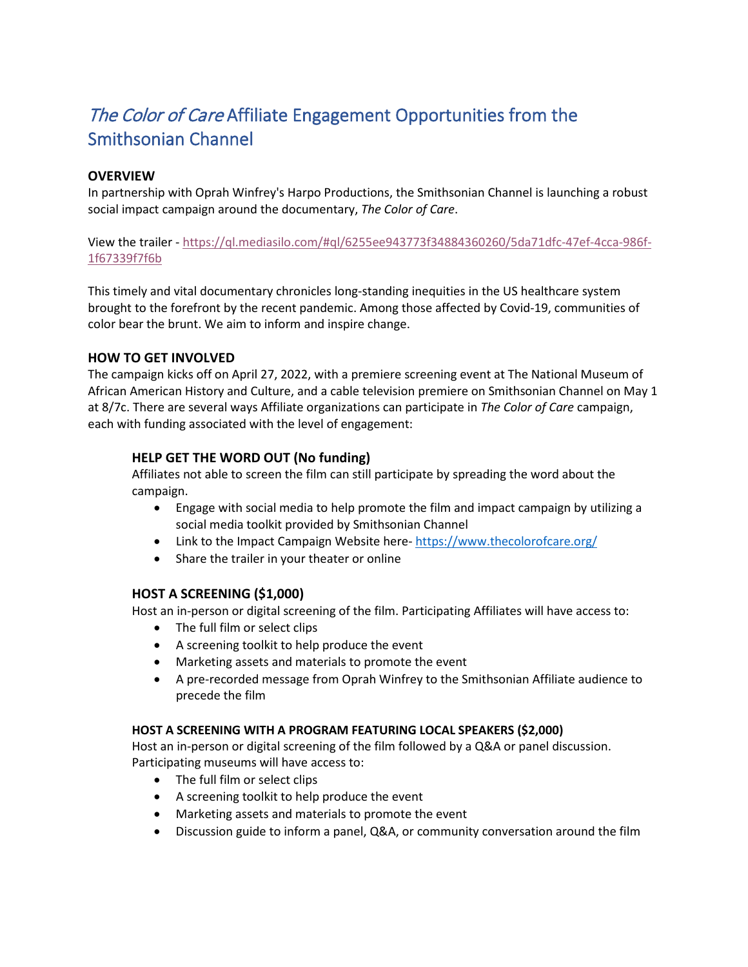# The Color of Care Affiliate Engagement Opportunities from the Smithsonian Channel

### **OVERVIEW**

In partnership with Oprah Winfrey's Harpo Productions, the Smithsonian Channel is launching a robust social impact campaign around the documentary, *The Color of Care*.

View the trailer [- https://ql.mediasilo.com/#ql/6255ee943773f34884360260/5da71dfc-47ef-4cca-986f-](https://ql.mediasilo.com/#ql/6255ee943773f34884360260/5da71dfc-47ef-4cca-986f-1f67339f7f6b)[1f67339f7f6b](https://ql.mediasilo.com/#ql/6255ee943773f34884360260/5da71dfc-47ef-4cca-986f-1f67339f7f6b) 

This timely and vital documentary chronicles long-standing inequities in the US healthcare system brought to the forefront by the recent pandemic. Among those affected by Covid-19, communities of color bear the brunt. We aim to inform and inspire change.

### **HOW TO GET INVOLVED**

The campaign kicks off on April 27, 2022, with a premiere screening event at The National Museum of African American History and Culture, and a cable television premiere on Smithsonian Channel on May 1 at 8/7c. There are several ways Affiliate organizations can participate in *The Color of Care* campaign, each with funding associated with the level of engagement:

## **HELP GET THE WORD OUT (No funding)**

Affiliates not able to screen the film can still participate by spreading the word about the campaign.

- Engage with social media to help promote the film and impact campaign by utilizing a social media toolkit provided by Smithsonian Channel
- Link to the Impact Campaign Website here-<https://www.thecolorofcare.org/>
- Share the trailer in your theater or online

### **HOST A SCREENING (\$1,000)**

Host an in-person or digital screening of the film. Participating Affiliates will have access to:

- The full film or select clips
- A screening toolkit to help produce the event
- Marketing assets and materials to promote the event
- A pre-recorded message from Oprah Winfrey to the Smithsonian Affiliate audience to precede the film

### **HOST A SCREENING WITH A PROGRAM FEATURING LOCAL SPEAKERS (\$2,000)**

Host an in-person or digital screening of the film followed by a Q&A or panel discussion. Participating museums will have access to:

- The full film or select clips
- A screening toolkit to help produce the event
- Marketing assets and materials to promote the event
- Discussion guide to inform a panel, Q&A, or community conversation around the film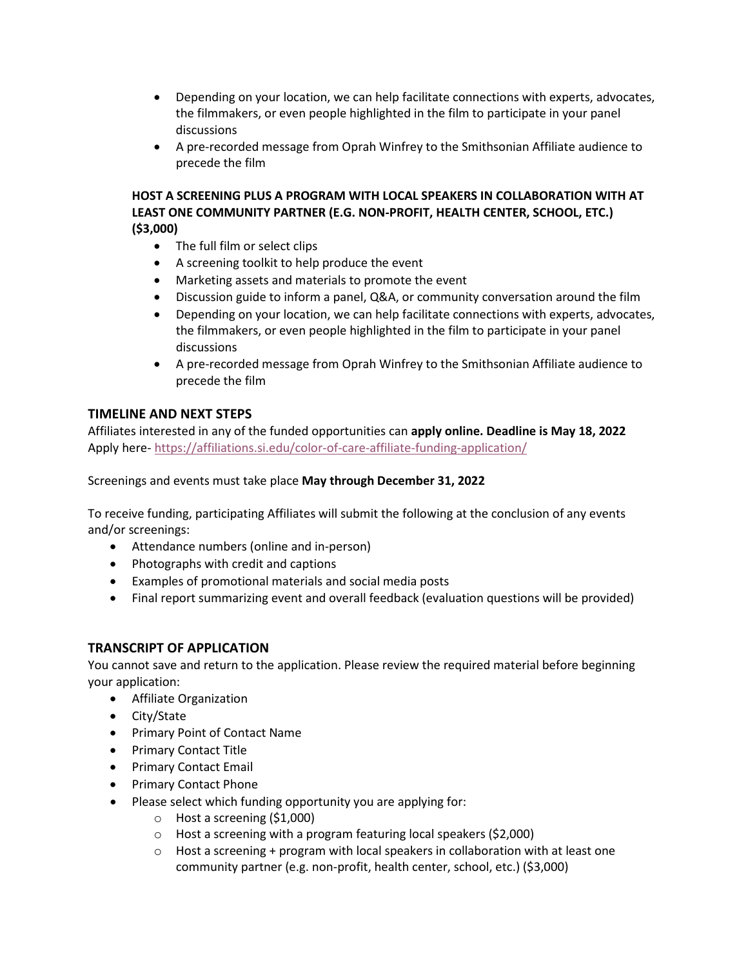- Depending on your location, we can help facilitate connections with experts, advocates, the filmmakers, or even people highlighted in the film to participate in your panel discussions
- A pre-recorded message from Oprah Winfrey to the Smithsonian Affiliate audience to precede the film

#### **HOST A SCREENING PLUS A PROGRAM WITH LOCAL SPEAKERS IN COLLABORATION WITH AT LEAST ONE COMMUNITY PARTNER (E.G. NON-PROFIT, HEALTH CENTER, SCHOOL, ETC.) (\$3,000)**

- The full film or select clips
- A screening toolkit to help produce the event
- Marketing assets and materials to promote the event
- Discussion guide to inform a panel, Q&A, or community conversation around the film
- Depending on your location, we can help facilitate connections with experts, advocates, the filmmakers, or even people highlighted in the film to participate in your panel discussions
- A pre-recorded message from Oprah Winfrey to the Smithsonian Affiliate audience to precede the film

### **TIMELINE AND NEXT STEPS**

Affiliates interested in any of the funded opportunities can **apply online. Deadline is May 18, 2022** Apply here-<https://affiliations.si.edu/color-of-care-affiliate-funding-application/>

Screenings and events must take place **May through December 31, 2022**

To receive funding, participating Affiliates will submit the following at the conclusion of any events and/or screenings:

- Attendance numbers (online and in-person)
- Photographs with credit and captions
- Examples of promotional materials and social media posts
- Final report summarizing event and overall feedback (evaluation questions will be provided)

### **TRANSCRIPT OF APPLICATION**

You cannot save and return to the application. Please review the required material before beginning your application:

- Affiliate Organization
- City/State
- Primary Point of Contact Name
- Primary Contact Title
- Primary Contact Email
- Primary Contact Phone
- Please select which funding opportunity you are applying for:
	- o Host a screening (\$1,000)
	- o Host a screening with a program featuring local speakers (\$2,000)
	- $\circ$  Host a screening + program with local speakers in collaboration with at least one community partner (e.g. non-profit, health center, school, etc.) (\$3,000)